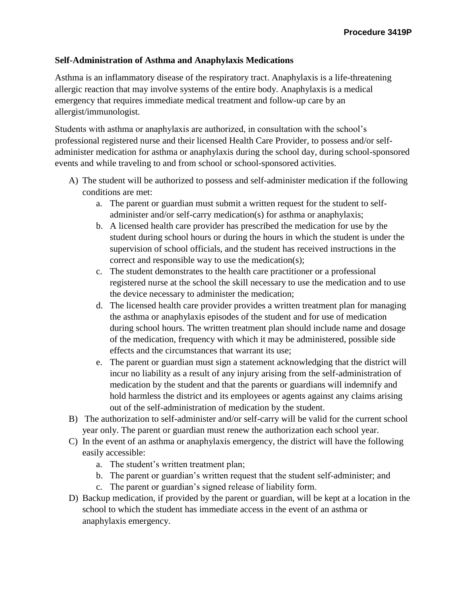## **Self-Administration of Asthma and Anaphylaxis Medications**

Asthma is an inflammatory disease of the respiratory tract. Anaphylaxis is a life-threatening allergic reaction that may involve systems of the entire body. Anaphylaxis is a medical emergency that requires immediate medical treatment and follow-up care by an allergist/immunologist.

Students with asthma or anaphylaxis are authorized, in consultation with the school's professional registered nurse and their licensed Health Care Provider, to possess and/or selfadminister medication for asthma or anaphylaxis during the school day, during school-sponsored events and while traveling to and from school or school-sponsored activities.

- A) The student will be authorized to possess and self-administer medication if the following conditions are met:
	- a. The parent or guardian must submit a written request for the student to selfadminister and/or self-carry medication(s) for asthma or anaphylaxis;
	- b. A licensed health care provider has prescribed the medication for use by the student during school hours or during the hours in which the student is under the supervision of school officials, and the student has received instructions in the correct and responsible way to use the medication(s);
	- c. The student demonstrates to the health care practitioner or a professional registered nurse at the school the skill necessary to use the medication and to use the device necessary to administer the medication;
	- d. The licensed health care provider provides a written treatment plan for managing the asthma or anaphylaxis episodes of the student and for use of medication during school hours. The written treatment plan should include name and dosage of the medication, frequency with which it may be administered, possible side effects and the circumstances that warrant its use;
	- e. The parent or guardian must sign a statement acknowledging that the district will incur no liability as a result of any injury arising from the self-administration of medication by the student and that the parents or guardians will indemnify and hold harmless the district and its employees or agents against any claims arising out of the self-administration of medication by the student.
- B) The authorization to self-administer and/or self-carry will be valid for the current school year only. The parent or guardian must renew the authorization each school year.
- C) In the event of an asthma or anaphylaxis emergency, the district will have the following easily accessible:
	- a. The student's written treatment plan;
	- b. The parent or guardian's written request that the student self-administer; and
	- c. The parent or guardian's signed release of liability form.
- D) Backup medication, if provided by the parent or guardian, will be kept at a location in the school to which the student has immediate access in the event of an asthma or anaphylaxis emergency.